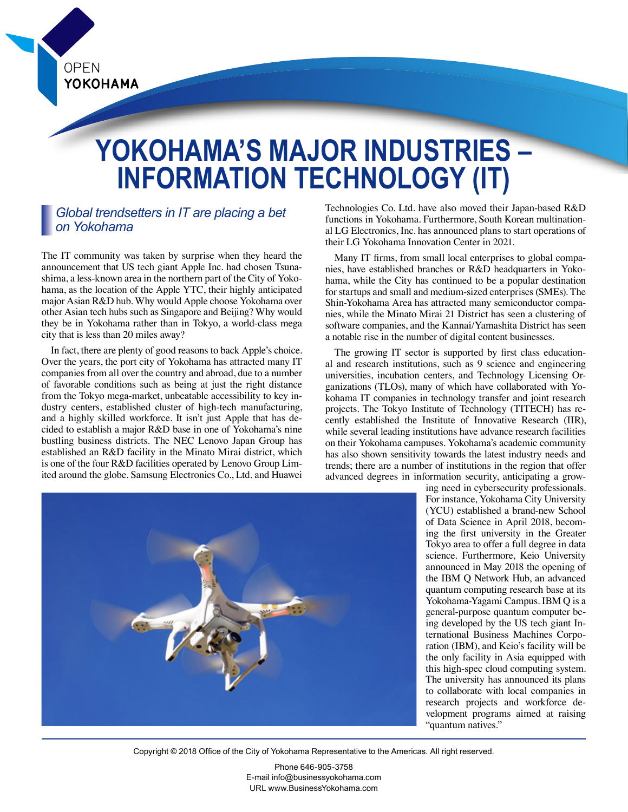**OPEN** YOKOHAMA

# **YOKOHAMA'S MAJOR INDUSTRIES – INFORMATION TECHNOLOGY (IT)**

## *Global trendsetters in IT are placing a bet on Yokohama*

The IT community was taken by surprise when they heard the announcement that US tech giant Apple Inc. had chosen Tsunashima, a less-known area in the northern part of the City of Yokohama, as the location of the Apple YTC, their highly anticipated major Asian R&D hub. Why would Apple choose Yokohama over other Asian tech hubs such as Singapore and Beijing? Why would they be in Yokohama rather than in Tokyo, a world-class mega city that is less than 20 miles away?

In fact, there are plenty of good reasons to back Apple's choice. Over the years, the port city of Yokohama has attracted many IT companies from all over the country and abroad, due to a number of favorable conditions such as being at just the right distance from the Tokyo mega-market, unbeatable accessibility to key industry centers, established cluster of high-tech manufacturing, and a highly skilled workforce. It isn't just Apple that has decided to establish a major R&D base in one of Yokohama's nine bustling business districts. The NEC Lenovo Japan Group has established an R&D facility in the Minato Mirai district, which is one of the four R&D facilities operated by Lenovo Group Limited around the globe. Samsung Electronics Co., Ltd. and Huawei

Technologies Co. Ltd. have also moved their Japan-based R&D functions in Yokohama. Furthermore, South Korean multinational LG Electronics, Inc. has announced plans to start operations of their LG Yokohama Innovation Center in 2021.

Many IT firms, from small local enterprises to global companies, have established branches or R&D headquarters in Yokohama, while the City has continued to be a popular destination for startups and small and medium-sized enterprises (SMEs). The Shin-Yokohama Area has attracted many semiconductor companies, while the Minato Mirai 21 District has seen a clustering of software companies, and the Kannai/Yamashita District has seen a notable rise in the number of digital content businesses.

The growing IT sector is supported by first class educational and research institutions, such as 9 science and engineering universities, incubation centers, and Technology Licensing Organizations (TLOs), many of which have collaborated with Yokohama IT companies in technology transfer and joint research projects. The Tokyo Institute of Technology (TITECH) has recently established the Institute of Innovative Research (IIR), while several leading institutions have advance research facilities on their Yokohama campuses. Yokohama's academic community has also shown sensitivity towards the latest industry needs and trends; there are a number of institutions in the region that offer advanced degrees in information security, anticipating a grow-



ing need in cybersecurity professionals. For instance, Yokohama City University (YCU) established a brand-new School of Data Science in April 2018, becoming the first university in the Greater Tokyo area to offer a full degree in data science. Furthermore, Keio University announced in May 2018 the opening of the IBM Q Network Hub, an advanced quantum computing research base at its Yokohama-Yagami Campus. IBM Q is a general-purpose quantum computer being developed by the US tech giant International Business Machines Corporation (IBM), and Keio's facility will be the only facility in Asia equipped with this high-spec cloud computing system. The university has announced its plans to collaborate with local companies in research projects and workforce development programs aimed at raising "quantum natives."

Copyright © 2018 Office of the City of Yokohama Representative to the Americas. All right reserved.

Phone 646-905-3758 E-mail info@businessyokohama.com URL www.BusinessYokohama.com